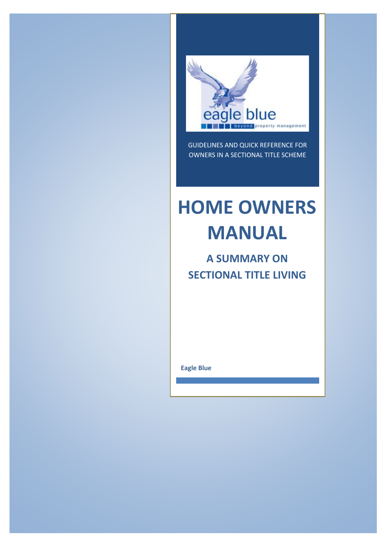

GUIDELINES AND QUICK REFERENCE FOR OWNERS IN A SECTIONAL TITLE SCHEME

# **HOME OWNERS MANUAL**

# **A SUMMARY ON SECTIONAL TITLE LIVING**

**Eagle Blue**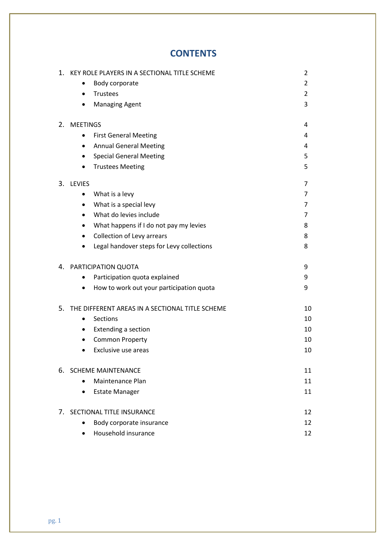# **CONTENTS**

| 1. | KEY ROLE PLAYERS IN A SECTIONAL TITLE SCHEME          | 2              |
|----|-------------------------------------------------------|----------------|
|    | Body corporate                                        | $\overline{2}$ |
|    | Trustees<br>$\bullet$                                 | $\overline{2}$ |
|    | <b>Managing Agent</b><br>$\bullet$                    | 3              |
| 2. | <b>MEETINGS</b>                                       | 4              |
|    | <b>First General Meeting</b><br>$\bullet$             | 4              |
|    | <b>Annual General Meeting</b>                         | 4              |
|    | <b>Special General Meeting</b><br>٠                   | 5              |
|    | <b>Trustees Meeting</b><br>$\bullet$                  | 5              |
|    | 3. LEVIES                                             | 7              |
|    | What is a levy<br>٠                                   | 7              |
|    | What is a special levy<br>٠                           | 7              |
|    | What do levies include<br>$\bullet$                   | 7              |
|    | What happens if I do not pay my levies<br>$\bullet$   | 8              |
|    | Collection of Levy arrears<br>$\bullet$               | 8              |
|    | Legal handover steps for Levy collections             | 8              |
|    | 4. PARTICIPATION QUOTA                                | 9              |
|    | Participation quota explained<br>$\bullet$            | 9              |
|    | How to work out your participation quota<br>$\bullet$ | 9              |
| 5. | THE DIFFERENT AREAS IN A SECTIONAL TITLE SCHEME       | 10             |
|    | <b>Sections</b><br>$\bullet$                          | 10             |
|    | Extending a section<br>٠                              | 10             |
|    | <b>Common Property</b>                                | 10             |
|    | Exclusive use areas<br>$\bullet$                      | 10             |
| 6. | <b>SCHEME MAINTENANCE</b>                             | 11             |
|    | Maintenance Plan                                      | 11             |
|    | <b>Estate Manager</b><br>$\bullet$                    | 11             |
| 7. | SECTIONAL TITLE INSURANCE                             | 12             |
|    | Body corporate insurance<br>$\bullet$                 | 12             |
|    | Household insurance                                   | 12             |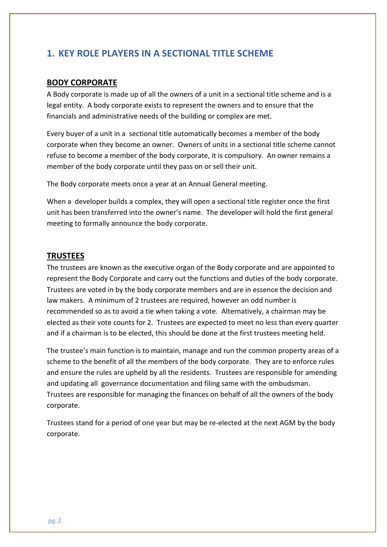# **1. KEY ROLE PLAYERS IN A SECTIONAL TITLE SCHEME**

## **BODY CORPORATE**

A Body corporate is made up of all the owners of a unit in a sectional title scheme and is a legal entity. A body corporate exists to represent the owners and to ensure that the financials and administrative needs of the building or complex are met.

Every buyer of a unit in a sectional title automatically becomes a member of the body corporate when they become an owner. Owners of units in a sectional title scheme cannot refuse to become a member of the body corporate, it is compulsory. An owner remains a member of the body corporate until they pass on or sell their unit.

The Body corporate meets once a year at an Annual General meeting.

When a developer builds a complex, they will open a sectional title register once the first unit has been transferred into the owner's name. The developer will hold the first general meeting to formally announce the body corporate.

## **TRUSTEES**

The trustees are known as the executive organ of the Body corporate and are appointed to represent the Body Corporate and carry out the functions and duties of the body corporate. Trustees are voted in by the body corporate members and are in essence the decision and law makers. A minimum of 2 trustees are required, however an odd number is recommended so as to avoid a tie when taking a vote. Alternatively, a chairman may be elected as their vote counts for 2. Trustees are expected to meet no less than every quarter and if a chairman is to be elected, this should be done at the first trustees meeting held.

The trustee's main function is to maintain, manage and run the common property areas of a scheme to the benefit of all the members of the body corporate. They are to enforce rules and ensure the rules are upheld by all the residents. Trustees are responsible for amending and updating all governance documentation and filing same with the ombudsman. Trustees are responsible for managing the finances on behalf of all the owners of the body corporate.

Trustees stand for a period of one year but may be re-elected at the next AGM by the body corporate.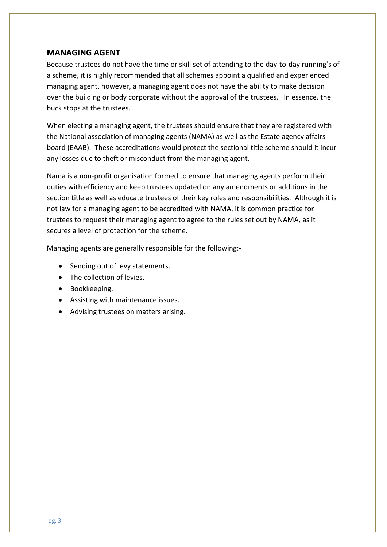## **MANAGING AGENT**

Because trustees do not have the time or skill set of attending to the day-to-day running's of a scheme, it is highly recommended that all schemes appoint a qualified and experienced managing agent, however, a managing agent does not have the ability to make decision over the building or body corporate without the approval of the trustees. In essence, the buck stops at the trustees.

When electing a managing agent, the trustees should ensure that they are registered with the National association of managing agents (NAMA) as well as the Estate agency affairs board (EAAB). These accreditations would protect the sectional title scheme should it incur any losses due to theft or misconduct from the managing agent.

Nama is a non-profit organisation formed to ensure that managing agents perform their duties with efficiency and keep trustees updated on any amendments or additions in the section title as well as educate trustees of their key roles and responsibilities. Although it is not law for a managing agent to be accredited with NAMA, it is common practice for trustees to request their managing agent to agree to the rules set out by NAMA, as it secures a level of protection for the scheme.

Managing agents are generally responsible for the following:-

- Sending out of levy statements.
- The collection of levies.
- Bookkeeping.
- Assisting with maintenance issues.
- Advising trustees on matters arising.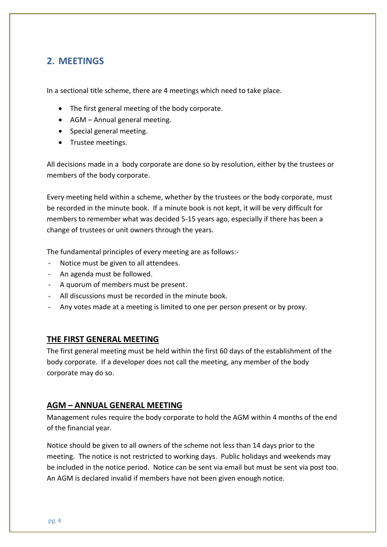# **2. MEETINGS**

In a sectional title scheme, there are 4 meetings which need to take place.

- The first general meeting of the body corporate.
- AGM Annual general meeting.
- Special general meeting.
- Trustee meetings.

All decisions made in a body corporate are done so by resolution, either by the trustees or members of the body corporate.

Every meeting held within a scheme, whether by the trustees or the body corporate, must be recorded in the minute book. If a minute book is not kept, it will be very difficult for members to remember what was decided 5-15 years ago, especially if there has been a change of trustees or unit owners through the years.

The fundamental principles of every meeting are as follows:-

- Notice must be given to all attendees.
- An agenda must be followed.
- A quorum of members must be present.
- All discussions must be recorded in the minute book.
- Any votes made at a meeting is limited to one per person present or by proxy.

#### **THE FIRST GENERAL MEETING**

The first general meeting must be held within the first 60 days of the establishment of the body corporate. If a developer does not call the meeting, any member of the body corporate may do so.

## **AGM – ANNUAL GENERAL MEETING**

Management rules require the body corporate to hold the AGM within 4 months of the end of the financial year.

Notice should be given to all owners of the scheme not less than 14 days prior to the meeting. The notice is not restricted to working days. Public holidays and weekends may be included in the notice period. Notice can be sent via email but must be sent via post too. An AGM is declared invalid if members have not been given enough notice.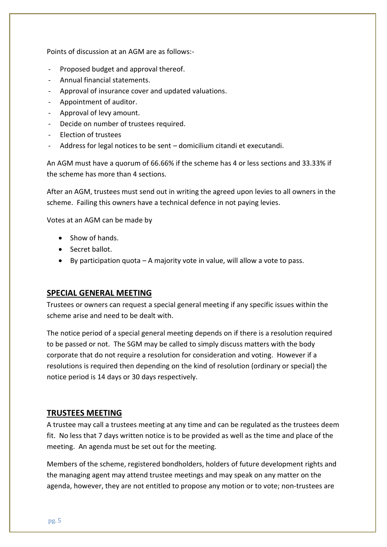Points of discussion at an AGM are as follows:-

- Proposed budget and approval thereof.
- Annual financial statements.
- Approval of insurance cover and updated valuations.
- Appointment of auditor.
- Approval of levy amount.
- Decide on number of trustees required.
- Election of trustees
- Address for legal notices to be sent domicilium citandi et executandi.

An AGM must have a quorum of 66.66% if the scheme has 4 or less sections and 33.33% if the scheme has more than 4 sections.

After an AGM, trustees must send out in writing the agreed upon levies to all owners in the scheme. Failing this owners have a technical defence in not paying levies.

Votes at an AGM can be made by

- Show of hands.
- Secret ballot.
- By participation quota  $-A$  majority vote in value, will allow a vote to pass.

#### **SPECIAL GENERAL MEETING**

Trustees or owners can request a special general meeting if any specific issues within the scheme arise and need to be dealt with.

The notice period of a special general meeting depends on if there is a resolution required to be passed or not. The SGM may be called to simply discuss matters with the body corporate that do not require a resolution for consideration and voting. However if a resolutions is required then depending on the kind of resolution (ordinary or special) the notice period is 14 days or 30 days respectively.

#### **TRUSTEES MEETING**

A trustee may call a trustees meeting at any time and can be regulated as the trustees deem fit. No less that 7 days written notice is to be provided as well as the time and place of the meeting. An agenda must be set out for the meeting.

Members of the scheme, registered bondholders, holders of future development rights and the managing agent may attend trustee meetings and may speak on any matter on the agenda, however, they are not entitled to propose any motion or to vote; non-trustees are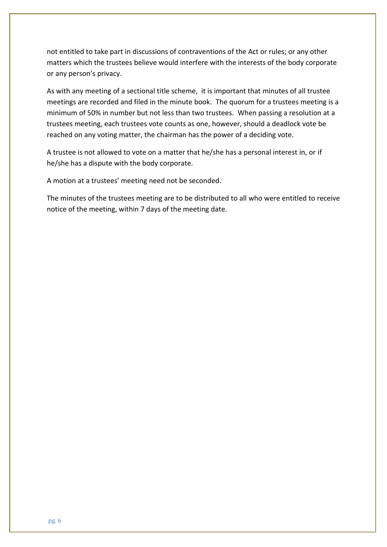not entitled to take part in discussions of contraventions of the Act or rules; or any other matters which the trustees believe would interfere with the interests of the body corporate or any person's privacy.

As with any meeting of a sectional title scheme, it is important that minutes of all trustee meetings are recorded and filed in the minute book. The quorum for a trustees meeting is a minimum of 50% in number but not less than two trustees. When passing a resolution at a trustees meeting, each trustees vote counts as one, however, should a deadlock vote be reached on any voting matter, the chairman has the power of a deciding vote.

A trustee is not allowed to vote on a matter that he/she has a personal interest in, or if he/she has a dispute with the body corporate.

A motion at a trustees' meeting need not be seconded.

The minutes of the trustees meeting are to be distributed to all who were entitled to receive notice of the meeting, within 7 days of the meeting date.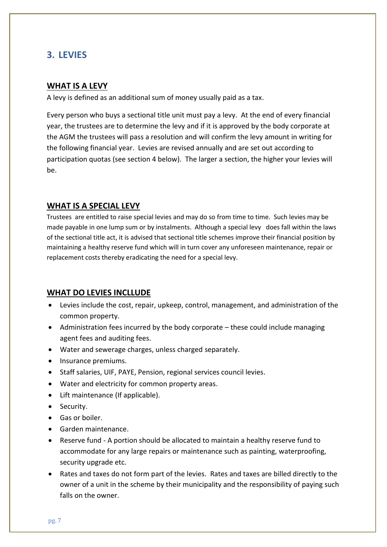# **3. LEVIES**

#### **WHAT IS A LEVY**

A levy is defined as an additional sum of money usually paid as a tax.

Every person who buys a sectional title unit must pay a levy. At the end of every financial year, the trustees are to determine the levy and if it is approved by the body corporate at the AGM the trustees will pass a resolution and will confirm the levy amount in writing for the following financial year. Levies are revised annually and are set out according to participation quotas (see section 4 below). The larger a section, the higher your levies will be.

## **WHAT IS A SPECIAL LEVY**

Trustees are entitled to raise special levies and may do so from time to time. Such levies may be made payable in one lump sum or by instalments. Although a special levy does fall within the laws of the sectional title act, it is advised that sectional title schemes improve their financial position by maintaining a healthy reserve fund which will in turn cover any unforeseen maintenance, repair or replacement costs thereby eradicating the need for a special levy.

## **WHAT DO LEVIES INCLLUDE**

- Levies include the cost, repair, upkeep, control, management, and administration of the common property.
- Administration fees incurred by the body corporate these could include managing agent fees and auditing fees.
- Water and sewerage charges, unless charged separately.
- Insurance premiums.
- Staff salaries, UIF, PAYE, Pension, regional services council levies.
- Water and electricity for common property areas.
- Lift maintenance (If applicable).
- Security.
- Gas or boiler.
- Garden maintenance.
- Reserve fund A portion should be allocated to maintain a healthy reserve fund to accommodate for any large repairs or maintenance such as painting, waterproofing, security upgrade etc.
- Rates and taxes do not form part of the levies. Rates and taxes are billed directly to the owner of a unit in the scheme by their municipality and the responsibility of paying such falls on the owner.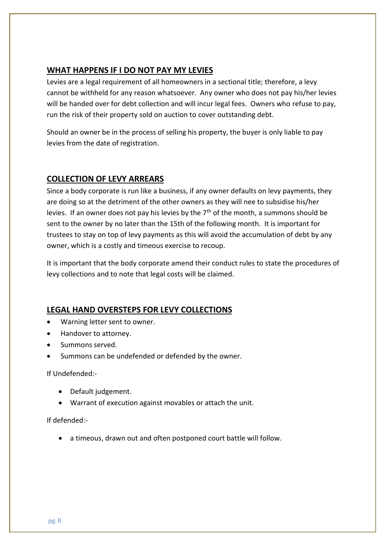## **WHAT HAPPENS IF I DO NOT PAY MY LEVIES**

Levies are a legal requirement of all homeowners in a sectional title; therefore, a levy cannot be withheld for any reason whatsoever. Any owner who does not pay his/her levies will be handed over for debt collection and will incur legal fees. Owners who refuse to pay, run the risk of their property sold on auction to cover outstanding debt.

Should an owner be in the process of selling his property, the buyer is only liable to pay levies from the date of registration.

## **COLLECTION OF LEVY ARREARS**

Since a body corporate is run like a business, if any owner defaults on levy payments, they are doing so at the detriment of the other owners as they will nee to subsidise his/her levies. If an owner does not pay his levies by the  $7<sup>th</sup>$  of the month, a summons should be sent to the owner by no later than the 15th of the following month. It is important for trustees to stay on top of levy payments as this will avoid the accumulation of debt by any owner, which is a costly and timeous exercise to recoup.

It is important that the body corporate amend their conduct rules to state the procedures of levy collections and to note that legal costs will be claimed.

## **LEGAL HAND OVERSTEPS FOR LEVY COLLECTIONS**

- Warning letter sent to owner.
- Handover to attorney.
- Summons served.
- Summons can be undefended or defended by the owner.

If Undefended:-

- Default judgement.
- Warrant of execution against movables or attach the unit.

## If defended:-

• a timeous, drawn out and often postponed court battle will follow.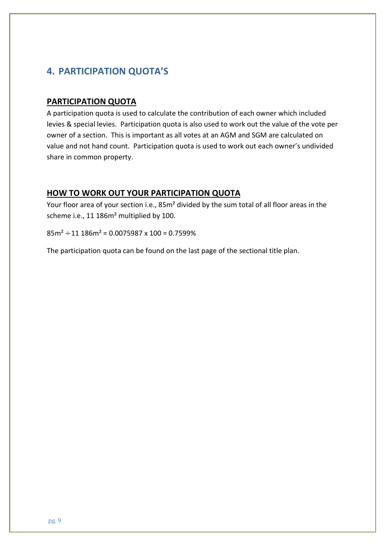# **4. PARTICIPATION QUOTA'S**

#### **PARTICIPATION QUOTA**

A participation quota is used to calculate the contribution of each owner which included levies & special levies. Participation quota is also used to work out the value of the vote per owner of a section. This is important as all votes at an AGM and SGM are calculated on value and not hand count. Participation quota is used to work out each owner's undivided share in common property.

## **HOW TO WORK OUT YOUR PARTICIPATION QUOTA**

Your floor area of your section i.e., 85m² divided by the sum total of all floor areas in the scheme i.e., 11 186m² multiplied by 100.

 $85m^2 \div 11$  186 $m^2$  = 0.0075987 x 100 = 0.7599%

The participation quota can be found on the last page of the sectional title plan.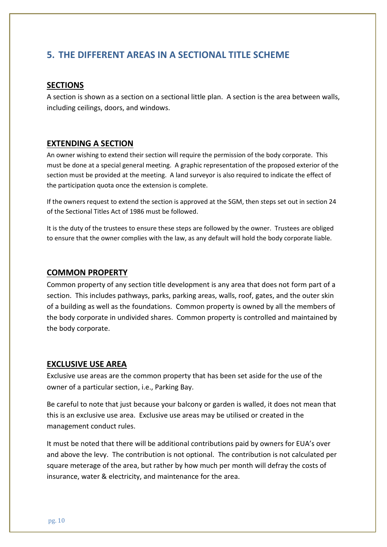# **5. THE DIFFERENT AREAS IN A SECTIONAL TITLE SCHEME**

#### **SECTIONS**

A section is shown as a section on a sectional little plan. A section is the area between walls, including ceilings, doors, and windows.

#### **EXTENDING A SECTION**

An owner wishing to extend their section will require the permission of the body corporate. This must be done at a special general meeting. A graphic representation of the proposed exterior of the section must be provided at the meeting. A land surveyor is also required to indicate the effect of the participation quota once the extension is complete.

If the owners request to extend the section is approved at the SGM, then steps set out in section 24 of the Sectional Titles Act of 1986 must be followed.

It is the duty of the trustees to ensure these steps are followed by the owner. Trustees are obliged to ensure that the owner complies with the law, as any default will hold the body corporate liable.

#### **COMMON PROPERTY**

Common property of any section title development is any area that does not form part of a section. This includes pathways, parks, parking areas, walls, roof, gates, and the outer skin of a building as well as the foundations. Common property is owned by all the members of the body corporate in undivided shares. Common property is controlled and maintained by the body corporate.

#### **EXCLUSIVE USE AREA**

Exclusive use areas are the common property that has been set aside for the use of the owner of a particular section, i.e., Parking Bay.

Be careful to note that just because your balcony or garden is walled, it does not mean that this is an exclusive use area. Exclusive use areas may be utilised or created in the management conduct rules.

It must be noted that there will be additional contributions paid by owners for EUA's over and above the levy. The contribution is not optional. The contribution is not calculated per square meterage of the area, but rather by how much per month will defray the costs of insurance, water & electricity, and maintenance for the area.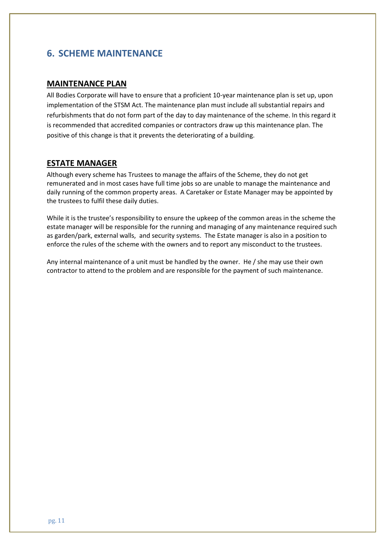# **6. SCHEME MAINTENANCE**

#### **MAINTENANCE PLAN**

All Bodies Corporate will have to ensure that a proficient 10-year maintenance plan is set up, upon implementation of the STSM Act. The maintenance plan must include all substantial repairs and refurbishments that do not form part of the day to day maintenance of the scheme. In this regard it is recommended that accredited companies or contractors draw up this maintenance plan. The positive of this change is that it prevents the deteriorating of a building.

#### **ESTATE MANAGER**

Although every scheme has Trustees to manage the affairs of the Scheme, they do not get remunerated and in most cases have full time jobs so are unable to manage the maintenance and daily running of the common property areas. A Caretaker or Estate Manager may be appointed by the trustees to fulfil these daily duties.

While it is the trustee's responsibility to ensure the upkeep of the common areas in the scheme the estate manager will be responsible for the running and managing of any maintenance required such as garden/park, external walls, and security systems. The Estate manager is also in a position to enforce the rules of the scheme with the owners and to report any misconduct to the trustees.

Any internal maintenance of a unit must be handled by the owner. He / she may use their own contractor to attend to the problem and are responsible for the payment of such maintenance.